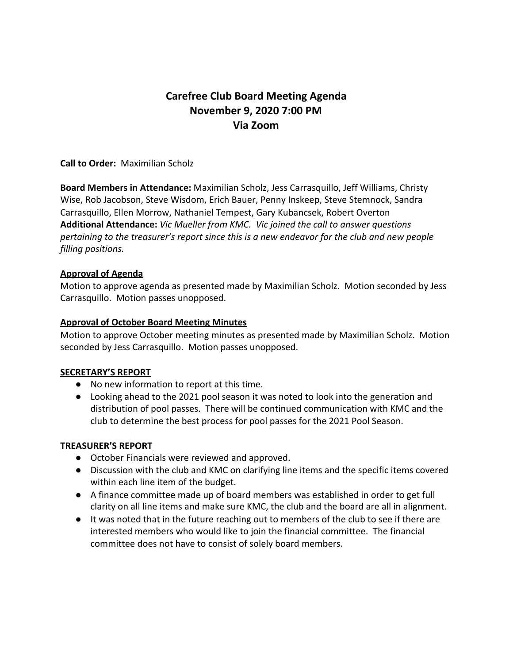# **Carefree Club Board Meeting Agenda November 9, 2020 7:00 PM Via Zoom**

**Call to Order:** Maximilian Scholz

**Board Members in Attendance:** Maximilian Scholz, Jess Carrasquillo, Jeff Williams, Christy Wise, Rob Jacobson, Steve Wisdom, Erich Bauer, Penny Inskeep, Steve Stemnock, Sandra Carrasquillo, Ellen Morrow, Nathaniel Tempest, Gary Kubancsek, Robert Overton **Additional Attendance:** *Vic Mueller from KMC. Vic joined the call to answer questions pertaining to the treasurer's report since this is a new endeavor for the club and new people filling positions.*

# **Approval of Agenda**

Motion to approve agenda as presented made by Maximilian Scholz. Motion seconded by Jess Carrasquillo. Motion passes unopposed.

# **Approval of October Board Meeting Minutes**

Motion to approve October meeting minutes as presented made by Maximilian Scholz. Motion seconded by Jess Carrasquillo. Motion passes unopposed.

# **SECRETARY'S REPORT**

- No new information to report at this time.
- Looking ahead to the 2021 pool season it was noted to look into the generation and distribution of pool passes. There will be continued communication with KMC and the club to determine the best process for pool passes for the 2021 Pool Season.

# **TREASURER'S REPORT**

- October Financials were reviewed and approved.
- Discussion with the club and KMC on clarifying line items and the specific items covered within each line item of the budget.
- A finance committee made up of board members was established in order to get full clarity on all line items and make sure KMC, the club and the board are all in alignment.
- It was noted that in the future reaching out to members of the club to see if there are interested members who would like to join the financial committee. The financial committee does not have to consist of solely board members.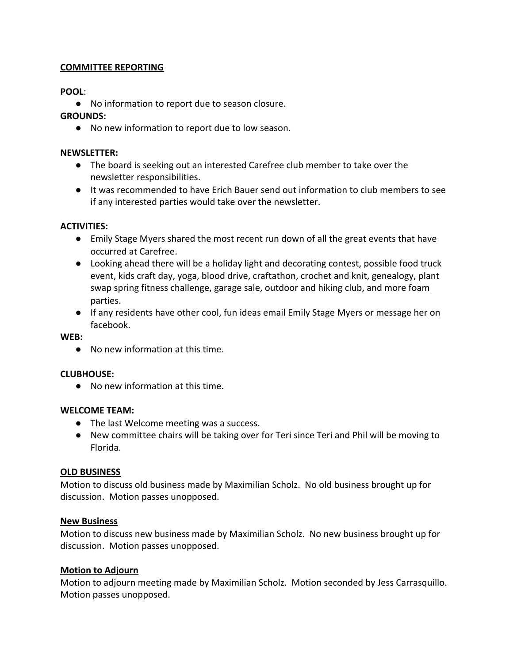# **COMMITTEE REPORTING**

# **POOL**:

● No information to report due to season closure.

# **GROUNDS:**

● No new information to report due to low season.

# **NEWSLETTER:**

- The board is seeking out an interested Carefree club member to take over the newsletter responsibilities.
- It was recommended to have Erich Bauer send out information to club members to see if any interested parties would take over the newsletter.

# **ACTIVITIES:**

- Emily Stage Myers shared the most recent run down of all the great events that have occurred at Carefree.
- Looking ahead there will be a holiday light and decorating contest, possible food truck event, kids craft day, yoga, blood drive, craftathon, crochet and knit, genealogy, plant swap spring fitness challenge, garage sale, outdoor and hiking club, and more foam parties.
- If any residents have other cool, fun ideas email Emily Stage Myers or message her on facebook.

# **WEB:**

● No new information at this time.

# **CLUBHOUSE:**

● No new information at this time.

# **WELCOME TEAM:**

- The last Welcome meeting was a success.
- New committee chairs will be taking over for Teri since Teri and Phil will be moving to Florida.

# **OLD BUSINESS**

Motion to discuss old business made by Maximilian Scholz. No old business brought up for discussion. Motion passes unopposed.

# **New Business**

Motion to discuss new business made by Maximilian Scholz. No new business brought up for discussion. Motion passes unopposed.

# **Motion to Adjourn**

Motion to adjourn meeting made by Maximilian Scholz. Motion seconded by Jess Carrasquillo. Motion passes unopposed.